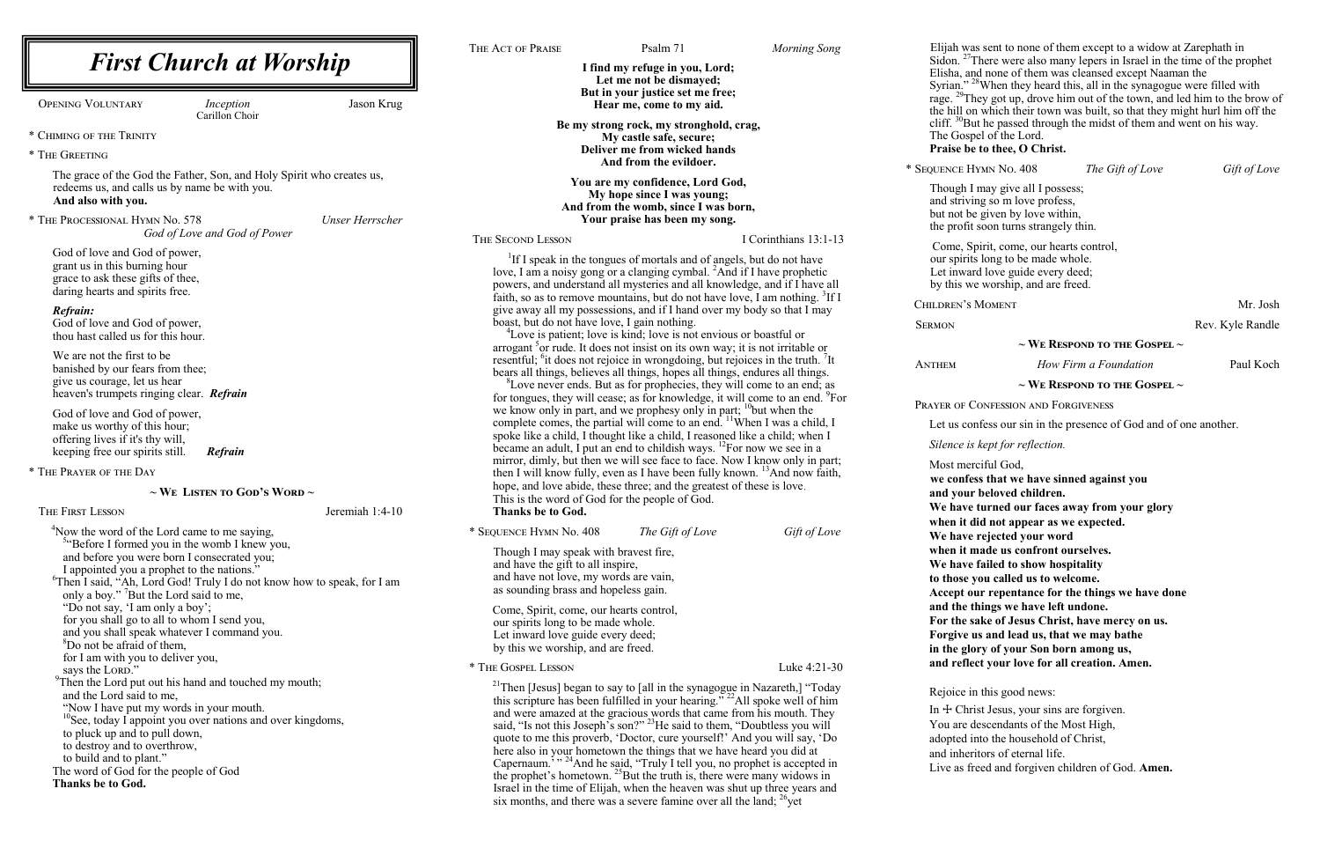|                                                                                           |                 | THE ACT OF PRAISE                       | Psalm 71                                                                                                                                                                      | <b>Morning Song</b>   | Elijah wa<br>Sidon. $27$          |
|-------------------------------------------------------------------------------------------|-----------------|-----------------------------------------|-------------------------------------------------------------------------------------------------------------------------------------------------------------------------------|-----------------------|-----------------------------------|
| <b>First Church at Worship</b>                                                            |                 |                                         | I find my refuge in you, Lord;                                                                                                                                                |                       | Elisha, a                         |
|                                                                                           |                 |                                         | Let me not be dismayed;                                                                                                                                                       |                       |                                   |
| <b>OPENING VOLUNTARY</b><br>Inception                                                     | Jason Krug      |                                         | But in your justice set me free;<br>Hear me, come to my aid.                                                                                                                  |                       | Syrian."<br>rage. <sup>29</sup> T |
| Carillon Choir                                                                            |                 |                                         |                                                                                                                                                                               |                       | the hill o                        |
| * CHIMING OF THE TRINITY                                                                  |                 |                                         | Be my strong rock, my stronghold, crag,                                                                                                                                       |                       | cliff. $^{30}B$<br>The Gos        |
|                                                                                           |                 |                                         | My castle safe, secure;<br>Deliver me from wicked hands                                                                                                                       |                       | Praise b                          |
| * THE GREETING                                                                            |                 |                                         | And from the evildoer.                                                                                                                                                        |                       | * SEQUENCE H                      |
| The grace of the God the Father, Son, and Holy Spirit who creates us,                     |                 |                                         | You are my confidence, Lord God,                                                                                                                                              |                       |                                   |
| redeems us, and calls us by name be with you.                                             |                 |                                         | My hope since I was young;                                                                                                                                                    |                       | Though I                          |
| And also with you.                                                                        |                 |                                         | And from the womb, since I was born,                                                                                                                                          |                       | and striv<br>but not b            |
| * THE PROCESSIONAL HYMN No. 578                                                           | Unser Herrscher |                                         | Your praise has been my song.                                                                                                                                                 |                       | the profit                        |
| God of Love and God of Power                                                              |                 | <b>THE SECOND LESSON</b>                |                                                                                                                                                                               | I Corinthians 13:1-13 |                                   |
| God of love and God of power,                                                             |                 |                                         | <sup>1</sup> If I speak in the tongues of mortals and of angels, but do not have                                                                                              |                       | Come, S<br>our spirit             |
| grant us in this burning hour                                                             |                 |                                         | love, I am a noisy gong or a clanging cymbal. <sup>2</sup> And if I have prophetic                                                                                            |                       | Let inwa                          |
| grace to ask these gifts of thee,<br>daring hearts and spirits free.                      |                 |                                         | powers, and understand all mysteries and all knowledge, and if I have all                                                                                                     |                       | by this w                         |
|                                                                                           |                 |                                         | faith, so as to remove mountains, but do not have love, I am nothing. <sup>3</sup> If I                                                                                       |                       | CHILDREN'S                        |
| Refrain:<br>God of love and God of power,                                                 |                 |                                         | give away all my possessions, and if I hand over my body so that I may<br>boast, but do not have love, I gain nothing.                                                        |                       |                                   |
| thou hast called us for this hour.                                                        |                 |                                         | <sup>4</sup> Love is patient; love is kind; love is not envious or boastful or                                                                                                |                       | <b>SERMON</b>                     |
|                                                                                           |                 |                                         | arrogant <sup>3</sup> or rude. It does not insist on its own way; it is not irritable or                                                                                      |                       |                                   |
| We are not the first to be<br>banished by our fears from thee;                            |                 |                                         | resentful; <sup>6</sup> it does not rejoice in wrongdoing, but rejoices in the truth. <sup>7</sup> It                                                                         |                       | <b>ANTHEM</b>                     |
| give us courage, let us hear                                                              |                 |                                         | bears all things, believes all things, hopes all things, endures all things.                                                                                                  |                       |                                   |
| heaven's trumpets ringing clear. Refrain                                                  |                 |                                         | <sup>8</sup> Love never ends. But as for prophecies, they will come to an end; as<br>for tongues, they will cease; as for knowledge, it will come to an end. <sup>9</sup> For |                       |                                   |
| God of love and God of power,                                                             |                 |                                         | we know only in part, and we prophesy only in part; $\frac{10}{10}$ but when the                                                                                              |                       | PRAYER OF (                       |
| make us worthy of this hour;                                                              |                 |                                         | complete comes, the partial will come to an end. <sup>11</sup> When I was a child, I                                                                                          |                       | Let us co                         |
| offering lives if it's thy will,                                                          |                 |                                         | spoke like a child, I thought like a child, I reasoned like a child; when I                                                                                                   |                       | Silence is                        |
| keeping free our spirits still.<br><b>Refrain</b>                                         |                 |                                         | became an adult, I put an end to childish ways. <sup>12</sup> For now we see in a<br>mirror, dimly, but then we will see face to face. Now I know only in part;               |                       |                                   |
| * THE PRAYER OF THE DAY                                                                   |                 |                                         | then I will know fully, even as I have been fully known. <sup>13</sup> And now faith,                                                                                         |                       | Most me                           |
| $\sim$ We Listen to God's Word $\sim$                                                     |                 |                                         | hope, and love abide, these three; and the greatest of these is love.                                                                                                         |                       | we confe                          |
|                                                                                           |                 |                                         | This is the word of God for the people of God.                                                                                                                                |                       | and you<br>We have                |
| THE FIRST LESSON                                                                          | Jeremiah 1:4-10 | <b>Thanks be to God.</b>                |                                                                                                                                                                               |                       | when it                           |
| <sup>4</sup> Now the word of the Lord came to me saying,                                  |                 | * SEQUENCE HYMN No. 408                 | The Gift of Love                                                                                                                                                              | Gift of Love          | We have                           |
| <sup>54</sup> Before I formed you in the womb I knew you,                                 |                 | Though I may speak with bravest fire,   |                                                                                                                                                                               |                       | when it I                         |
| and before you were born I consecrated you;<br>I appointed you a prophet to the nations." |                 | and have the gift to all inspire,       |                                                                                                                                                                               |                       | We have                           |
| <sup>6</sup> Then I said, "Ah, Lord God! Truly I do not know how to speak, for I am       |                 | and have not love, my words are vain,   |                                                                                                                                                                               |                       | to those                          |
| only a boy." <sup>7</sup> But the Lord said to me,                                        |                 | as sounding brass and hopeless gain.    |                                                                                                                                                                               |                       | Accept o                          |
| "Do not say, 'I am only a boy';                                                           |                 | Come, Spirit, come, our hearts control, |                                                                                                                                                                               |                       | and the                           |
| for you shall go to all to whom I send you,                                               |                 | our spirits long to be made whole.      |                                                                                                                                                                               |                       | For the s                         |
| and you shall speak whatever I command you.<br><sup>8</sup> Do not be afraid of them,     |                 | Let inward love guide every deed;       |                                                                                                                                                                               |                       | Forgive                           |
| for I am with you to deliver you,                                                         |                 | by this we worship, and are freed.      |                                                                                                                                                                               |                       | in the glo                        |
| says the LORD."                                                                           |                 | * THE GOSPEL LESSON                     |                                                                                                                                                                               | Luke 4:21-30          | and refle                         |
| <sup>9</sup> Then the Lord put out his hand and touched my mouth;                         |                 |                                         | <sup>21</sup> Then [Jesus] began to say to [all in the synagogue in Nazareth,] "Today                                                                                         |                       | Rejoice i                         |
| and the Lord said to me,<br>"Now I have put my words in your mouth.                       |                 |                                         | this scripture has been fulfilled in your hearing." <sup>22</sup> All spoke well of him                                                                                       |                       | In $+$ Chi                        |
| <sup>10</sup> See, today I appoint you over nations and over kingdoms,                    |                 |                                         | and were amazed at the gracious words that came from his mouth. They<br>said, "Is not this Joseph's son?" <sup>23</sup> He said to them, "Doubtless you will                  |                       | You are                           |
| to pluck up and to pull down,                                                             |                 |                                         | quote to me this proverb, 'Doctor, cure yourself!' And you will say, 'Do                                                                                                      |                       | adopted i                         |
| to destroy and to overthrow,                                                              |                 |                                         | here also in your hometown the things that we have heard you did at                                                                                                           |                       | and inher                         |
| to build and to plant."<br>The word of God for the people of God                          |                 |                                         | Capernaum. <sup>3</sup> <sup>, 24</sup> And he said, "Truly I tell you, no prophet is accepted in                                                                             |                       | Live as f                         |
| Thanks be to God.                                                                         |                 |                                         | the prophet's hometown. <sup>25</sup> But the truth is, there were many widows in                                                                                             |                       |                                   |
|                                                                                           |                 |                                         | Israel in the time of Elijah, when the heaven was shut up three years and<br>six months, and there was a severe famine over all the land; $^{26}$ yet                         |                       |                                   |
|                                                                                           |                 |                                         |                                                                                                                                                                               |                       |                                   |

as sent to none of them except to a widow at Zarephath in There were also many lepers in Israel in the time of the prophet nd none of them was cleansed except Naaman the

 $28$ When they heard this, all in the synagogue were filled with hey got up, drove him out of the town, and led him to the brow of on which their town was built, so that they might hurl him off the But he passed through the midst of them and went on his way. pel of the Lord.

## $\hat{P}$ e to thee, O Christ.

 $\frac{1}{2}$  Separator Mo. 408 *The Gift of Love Gift of Love* 

I may give all I possess;  $\overline{\text{ing so}}$  m love profess, be given by love within, t soon turns strangely thin.

Spirit, come, our hearts control, ts long to be made whole. ard love guide every deed; ve worship, and are freed.

MOMENT Mr. Josh

Rev. Kyle Randle

### **~ We Respond to the Gospel ~**

*How Firm a Foundation* Paul Koch

#### **~ We Respond to the Gospel ~**

CONFESSION AND FORGIVENESS

onfess our sin in the presence of God and of one another.

#### *is kept for reflection.*

rciful God,

**we confess that we have sinned against you**

**r** beloved children.

**Example 1 IV our faces away from your glory** 

did not appear as we expected.

**Prejected your word** 

made us confront ourselves.

**Example 1 Example 1 C hospitality** 

you called us to welcome.

Accept our repentance for the things we have done

things we have left undone.

**For the sake of Jesus Christ, have mercy on us.**

**Forgive us and lead us, that we may bathe**

**in the glory of your Son born among us,**

ect your love for all creation. Amen.

in this good news:

rist Jesus, your sins are forgiven.

descendants of the Most High,

into the household of Christ,

ritors of eternal life.

Freed and forgiven children of God. Amen.